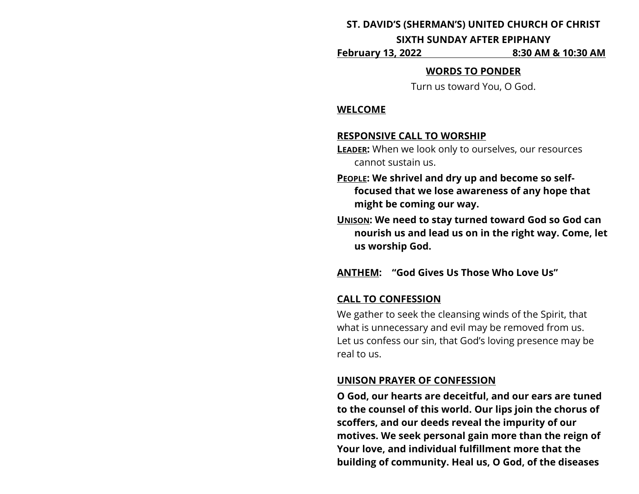#### **ST. DAVID'S (SHERMAN'S) UNITED CHURCH OF CHRIST**

#### **SIXTH SUNDAY AFTER EPIPHANY**

**February 13, 2022 8:30 AM & 10:30 AM**

#### **WORDS TO PONDER**

Turn us toward You, O God.

#### **WELCOME**

### **RESPONSIVE CALL TO WORSHIP**

- **LEADER:** When we look only to ourselves, our resources cannot sustain us.
- **PEOPLE: We shrivel and dry up and become so selffocused that we lose awareness of any hope that might be coming our way.**
- **UNISON: We need to stay turned toward God so God can nourish us and lead us on in the right way. Come, let us worship God.**

# **ANTHEM: "God Gives Us Those Who Love Us"**

## **CALL TO CONFESSION**

We gather to seek the cleansing winds of the Spirit, that what is unnecessary and evil may be removed from us. Let us confess our sin, that God's loving presence may be real to us.

## **UNISON PRAYER OF CONFESSION**

**O God, our hearts are deceitful, and our ears are tuned to the counsel of this world. Our lips join the chorus of scoffers, and our deeds reveal the impurity of our motives. We seek personal gain more than the reign of Your love, and individual fulfillment more that the building of community. Heal us, O God, of the diseases**